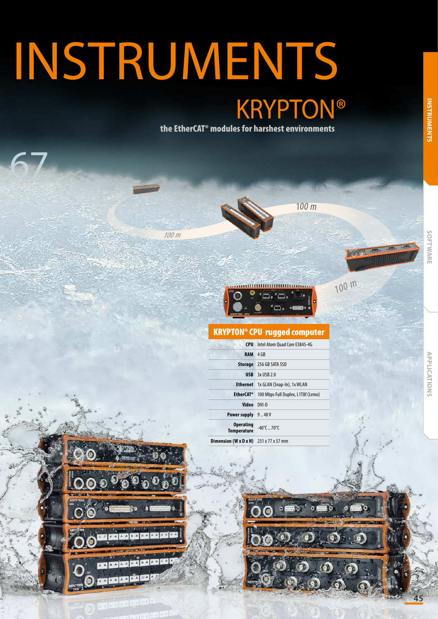## INSTRUMENTS **KRYPTON®**

100 m

the EtherCAT® modules for harshest environments



100 <sup>m</sup>

特別車



## KRYPTON® CPU rugged computer

| <b>CPU</b>                                                | Intel Atom Quad Core E3845-4G      |
|-----------------------------------------------------------|------------------------------------|
| <b>RAM</b>                                                | 4 GB                               |
|                                                           | <b>Storage</b> 256 GB SATA SSD     |
|                                                           | <b>USB</b> $3x$ USB 2.0            |
| <b>Ethernet</b>                                           | 1x GLAN (Snap-In), 1x WLAN         |
| <b>EtherCAT<sup>®</sup></b>                               | 100 Mbps Full Duplex, L1T8f (Lemo) |
| Video DVI-D                                               |                                    |
| <b>Power supply</b> 9.48V                                 |                                    |
| <b>Operating</b><br><b>Temperature</b>                    | $-40^{\circ}$ C  70 $^{\circ}$ C   |
| <b>Dimension (W x D x H)</b> $231 \times 77 \times 57$ mm |                                    |



IP 67

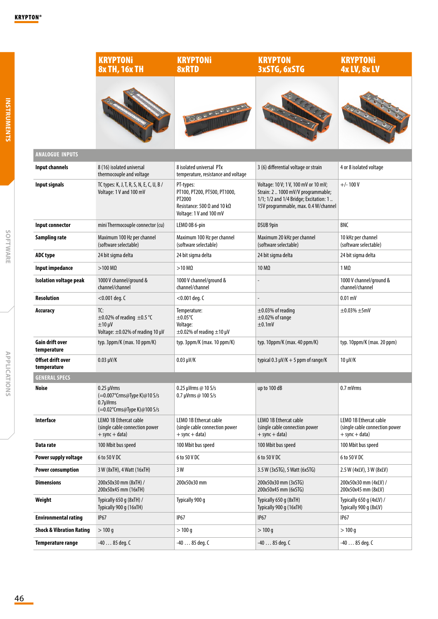|                                     | <b>KRYPTONi</b><br>8x TH, 16x TH                                                                   | <b>KRYPTONi</b><br><b>8xRTD</b>                                                                                              | <b>KRYPTON</b><br><b>3xSTG, 6xSTG</b>                                                                                                                        | <b>KRYPTONi</b><br>4x LV, 8x LV                                                |
|-------------------------------------|----------------------------------------------------------------------------------------------------|------------------------------------------------------------------------------------------------------------------------------|--------------------------------------------------------------------------------------------------------------------------------------------------------------|--------------------------------------------------------------------------------|
|                                     |                                                                                                    | 00000000                                                                                                                     |                                                                                                                                                              |                                                                                |
| <b>ANALOGUE INPUTS</b>              |                                                                                                    |                                                                                                                              |                                                                                                                                                              |                                                                                |
| Input channels                      | 8 (16) isolated universal<br>thermocouple and voltage                                              | 8 isolated universal PTx<br>temperature, resistance and voltage                                                              | 3 (6) differential voltage or strain                                                                                                                         | 4 or 8 isolated voltage                                                        |
| Input signals                       | TC types: K, J, T, R, S, N, E, C, U, B /<br>Voltage: 1 V and 100 mV                                | PT-types:<br>PT100, PT200, PT500, PT1000,<br>PT2000<br>Resistance: 500 $\Omega$ and 10 k $\Omega$<br>Voltage: 1 V and 100 mV | Voltage: 10 V; 1 V, 100 mV or 10 mV;<br>Strain: 2  1000 mV/V programmable;<br>1/1; 1/2 and 1/4 Bridge; Excitation: 1<br>15V programmable, max. 0.4 W/channel | $+/- 100V$                                                                     |
| Input connector                     | mini Thermocouple connector (cu)                                                                   | LEMO 0B 6-pin                                                                                                                | DSUB 9pin                                                                                                                                                    | BNC                                                                            |
| Sampling rate                       | Maximum 100 Hz per channel<br>(software selectable)                                                | Maximum 100 Hz per channel<br>(software selectable)                                                                          | Maximum 20 kHz per channel<br>(software selectable)                                                                                                          | 10 kHz per channel<br>(software selectable)                                    |
| ADC type                            | 24 bit sigma delta                                                                                 | 24 bit sigma delta                                                                                                           | 24 bit sigma delta                                                                                                                                           | 24 bit sigma delta                                                             |
| Input impedance                     | $>100 \text{ M}\Omega$                                                                             | $>10 \text{ M}\Omega$                                                                                                        | 10 MΩ                                                                                                                                                        | $1 \, \text{M}\Omega$                                                          |
| <b>Isolation voltage peak</b>       | 1000 V channel/ground &<br>channel/channel                                                         | 1000 V channel/ground &<br>channel/channel                                                                                   |                                                                                                                                                              | 1000 V channel/ground &<br>channel/channel                                     |
| <b>Resolution</b>                   | $<$ 0.001 deg. C                                                                                   | $<$ 0.001 deg. C                                                                                                             |                                                                                                                                                              | $0.01$ mV                                                                      |
| Accuracy                            | TC:<br>$\pm$ 0.02% of reading $\pm$ 0.5 °C<br>$±10 \mu V$<br>Voltage: $\pm$ 0.02% of reading 10 µV | Temperature:<br>$\pm 0.05$ °C<br>Voltage:<br>$\pm$ 0.02% of reading $\pm$ 10 µV                                              | $\pm$ 0.03% of reading<br>$\pm$ 0.02% of range<br>±0.1mV                                                                                                     | $\pm$ 0.03% $\pm$ 5mV                                                          |
| Gain drift over<br>temperature      | typ. 3ppm/K (max. 10 ppm/K)                                                                        | typ. 3ppm/K (max. 10 ppm/K)                                                                                                  | typ. 10ppm/K (max. 40 ppm/K)                                                                                                                                 | typ. 10ppm/K (max. 20 ppm)                                                     |
| Offset drift over<br>temperature    | $0.03 \mu V/K$                                                                                     | $0.03 \mu V/K$                                                                                                               | typical 0.3 $\mu$ V/K + 5 ppm of range/K                                                                                                                     | $10 \mu V/K$                                                                   |
| <b>GENERAL SPECS</b>                |                                                                                                    |                                                                                                                              |                                                                                                                                                              |                                                                                |
| Noise                               | 0.25 µVrms<br>(=0.007°Crms@Type K)@10 S/s<br>$0.7 \mu V$ rms<br>(=0.02°Crms@Type K)@100 S/s        | 0.25 µVrms @ $10 S/s$<br>0.7 µVrms @ 100 S/s                                                                                 | up to 100 dB                                                                                                                                                 | 0.7 mVrms                                                                      |
| Interface                           | LEMO 1B Ethercat cable<br>(single cable connection power<br>$+$ sync $+$ data)                     | LEMO 1B Ethercat cable<br>(single cable connection power<br>$+$ sync $+$ data)                                               | LEMO 1B Ethercat cable<br>(single cable connection power<br>$+$ sync $+$ data)                                                                               | LEMO 1B Ethercat cable<br>(single cable connection power<br>$+$ sync $+$ data) |
| Data rate                           | 100 Mbit bus speed                                                                                 | 100 Mbit bus speed                                                                                                           | 100 Mbit bus speed                                                                                                                                           | 100 Mbit bus speed                                                             |
| Power supply voltage                | 6 to 50 V DC                                                                                       | 6 to 50 V DC                                                                                                                 | 6 to 50 V DC                                                                                                                                                 | 6 to 50 V DC                                                                   |
| <b>Power consumption</b>            | 3 W (8xTH), 4 Watt (16xTH)                                                                         | 3 W                                                                                                                          | 3.5 W (3xSTG), 5 Watt (6xSTG)                                                                                                                                | 2.5 W (4xLV), 3 W (8xLV)                                                       |
| <b>Dimensions</b>                   | 200x50x30 mm (8xTH) /<br>200x50x45 mm (16xTH)                                                      | 200x50x30 mm                                                                                                                 | 200x50x30 mm (3xSTG)<br>200x50x45 mm (6xSTG)                                                                                                                 | 200x50x30 mm (4xLV) /<br>200x50x45 mm (8xLV)                                   |
| Weight                              | Typically 650 g (8xTH) /<br>Typically 900 g (16xTH)                                                | Typically 900 q                                                                                                              | Typically 650 g (8xTH)<br>Typically 900 g (16xTH)                                                                                                            | Typically 650 q (4xLV) /<br>Typically 900 g (8xLV)                             |
| <b>Environmental rating</b>         | <b>IP67</b>                                                                                        | <b>IP67</b>                                                                                                                  | <b>IP67</b>                                                                                                                                                  | <b>IP67</b>                                                                    |
| <b>Shock &amp; Vibration Rating</b> | >100q                                                                                              | >100q                                                                                                                        | >100q                                                                                                                                                        | > 100 q                                                                        |
| Temperature range                   | $-4085$ deg. C                                                                                     | $-4085$ deg. C                                                                                                               | -40  85 deg. C                                                                                                                                               | $-4085$ deg. C                                                                 |